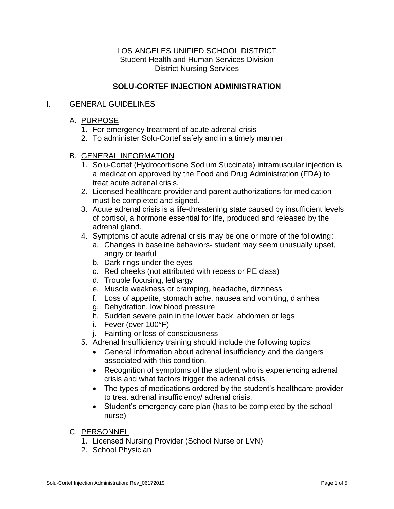### LOS ANGELES UNIFIED SCHOOL DISTRICT Student Health and Human Services Division District Nursing Services

# **SOLU-CORTEF INJECTION ADMINISTRATION**

### I. GENERAL GUIDELINES

#### A. PURPOSE

- 1. For emergency treatment of acute adrenal crisis
- 2. To administer Solu-Cortef safely and in a timely manner

#### B. GENERAL INFORMATION

- 1. Solu-Cortef (Hydrocortisone Sodium Succinate) intramuscular injection is a medication approved by the Food and Drug Administration (FDA) to treat acute adrenal crisis.
- 2. Licensed healthcare provider and parent authorizations for medication must be completed and signed.
- 3. Acute adrenal crisis is a life-threatening state caused by insufficient levels of cortisol, a hormone essential for life, produced and released by the adrenal gland.
- 4. Symptoms of acute adrenal crisis may be one or more of the following:
	- a. Changes in baseline behaviors- student may seem unusually upset, angry or tearful
	- b. Dark rings under the eyes
	- c. Red cheeks (not attributed with recess or PE class)
	- d. Trouble focusing, lethargy
	- e. Muscle weakness or cramping, headache, dizziness
	- f. Loss of appetite, stomach ache, nausea and vomiting, diarrhea
	- g. Dehydration, low blood pressure
	- h. Sudden severe pain in the lower back, abdomen or legs
	- i. Fever (over 100°F)
	- j. Fainting or loss of consciousness
- 5. Adrenal Insufficiency training should include the following topics:
	- General information about adrenal insufficiency and the dangers associated with this condition.
	- Recognition of symptoms of the student who is experiencing adrenal crisis and what factors trigger the adrenal crisis.
	- The types of medications ordered by the student's healthcare provider to treat adrenal insufficiency/ adrenal crisis.
	- Student's emergency care plan (has to be completed by the school nurse)
- C. PERSONNEL
	- 1. Licensed Nursing Provider (School Nurse or LVN)
	- 2. School Physician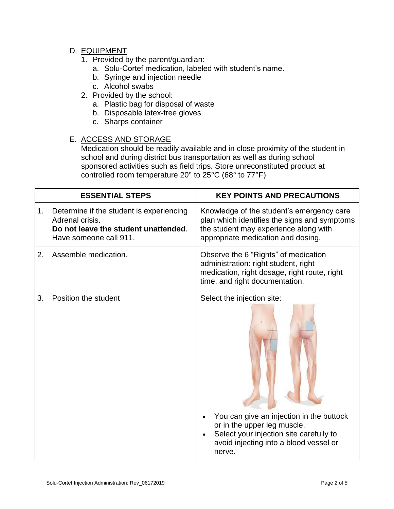# D. EQUIPMENT

- 1. Provided by the parent/guardian:
	- a. Solu-Cortef medication, labeled with student's name.
	- b. Syringe and injection needle
	- c. Alcohol swabs
- 2. Provided by the school:
	- a. Plastic bag for disposal of waste
	- b. Disposable latex-free gloves
	- c. Sharps container

### E. ACCESS AND STORAGE

Medication should be readily available and in close proximity of the student in school and during district bus transportation as well as during school sponsored activities such as field trips. Store unreconstituted product at controlled room temperature 20° to 25°C (68° to 77°F)

|    | <b>ESSENTIAL STEPS</b>                                                                                                        | <b>KEY POINTS AND PRECAUTIONS</b>                                                                                                                                                                    |
|----|-------------------------------------------------------------------------------------------------------------------------------|------------------------------------------------------------------------------------------------------------------------------------------------------------------------------------------------------|
| 1. | Determine if the student is experiencing<br>Adrenal crisis.<br>Do not leave the student unattended.<br>Have someone call 911. | Knowledge of the student's emergency care<br>plan which identifies the signs and symptoms<br>the student may experience along with<br>appropriate medication and dosing.                             |
| 2. | Assemble medication.                                                                                                          | Observe the 6 "Rights" of medication<br>administration: right student, right<br>medication, right dosage, right route, right<br>time, and right documentation.                                       |
| 3. | Position the student                                                                                                          | Select the injection site:<br>You can give an injection in the buttock<br>or in the upper leg muscle.<br>Select your injection site carefully to<br>avoid injecting into a blood vessel or<br>nerve. |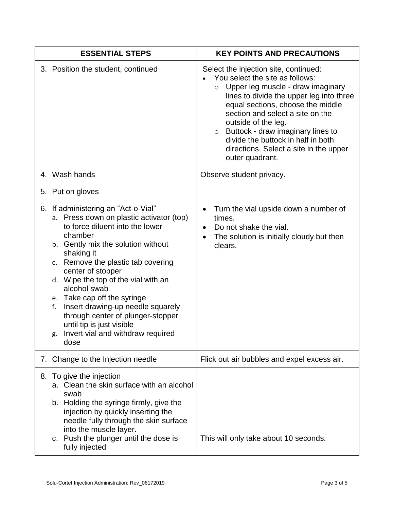| <b>ESSENTIAL STEPS</b>                                                                                                                                                                                                                                                                                                                                                                                                                                                                          | <b>KEY POINTS AND PRECAUTIONS</b>                                                                                                                                                                                                                                                                                                                                                                                    |
|-------------------------------------------------------------------------------------------------------------------------------------------------------------------------------------------------------------------------------------------------------------------------------------------------------------------------------------------------------------------------------------------------------------------------------------------------------------------------------------------------|----------------------------------------------------------------------------------------------------------------------------------------------------------------------------------------------------------------------------------------------------------------------------------------------------------------------------------------------------------------------------------------------------------------------|
| 3. Position the student, continued                                                                                                                                                                                                                                                                                                                                                                                                                                                              | Select the injection site, continued:<br>You select the site as follows:<br>$\circ$ Upper leg muscle - draw imaginary<br>lines to divide the upper leg into three<br>equal sections, choose the middle<br>section and select a site on the<br>outside of the leg.<br>Buttock - draw imaginary lines to<br>$\circ$<br>divide the buttock in half in both<br>directions. Select a site in the upper<br>outer quadrant. |
| 4. Wash hands                                                                                                                                                                                                                                                                                                                                                                                                                                                                                   | Observe student privacy.                                                                                                                                                                                                                                                                                                                                                                                             |
| 5. Put on gloves                                                                                                                                                                                                                                                                                                                                                                                                                                                                                |                                                                                                                                                                                                                                                                                                                                                                                                                      |
| 6. If administering an "Act-o-Vial"<br>a. Press down on plastic activator (top)<br>to force diluent into the lower<br>chamber<br>b. Gently mix the solution without<br>shaking it<br>c. Remove the plastic tab covering<br>center of stopper<br>d. Wipe the top of the vial with an<br>alcohol swab<br>e. Take cap off the syringe<br>Insert drawing-up needle squarely<br>f.<br>through center of plunger-stopper<br>until tip is just visible<br>g. Invert vial and withdraw required<br>dose | Turn the vial upside down a number of<br>$\bullet$<br>times.<br>Do not shake the vial.<br>The solution is initially cloudy but then<br>٠<br>clears.                                                                                                                                                                                                                                                                  |
| 7. Change to the Injection needle                                                                                                                                                                                                                                                                                                                                                                                                                                                               | Flick out air bubbles and expel excess air.                                                                                                                                                                                                                                                                                                                                                                          |
| To give the injection<br>8.<br>Clean the skin surface with an alcohol<br>a.<br>swab<br>b. Holding the syringe firmly, give the<br>injection by quickly inserting the<br>needle fully through the skin surface<br>into the muscle layer.<br>c. Push the plunger until the dose is<br>fully injected                                                                                                                                                                                              | This will only take about 10 seconds.                                                                                                                                                                                                                                                                                                                                                                                |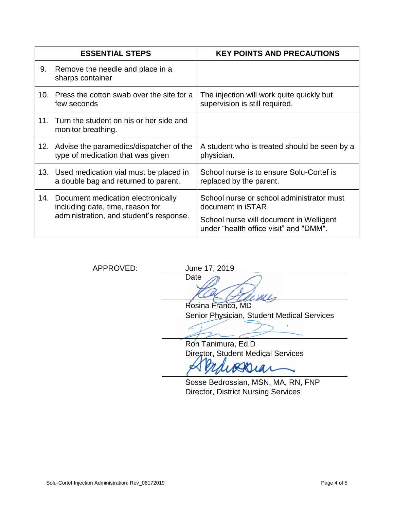|     | <b>ESSENTIAL STEPS</b>                                                                                            | <b>KEY POINTS AND PRECAUTIONS</b>                                                                                                                            |
|-----|-------------------------------------------------------------------------------------------------------------------|--------------------------------------------------------------------------------------------------------------------------------------------------------------|
| 9.  | Remove the needle and place in a<br>sharps container                                                              |                                                                                                                                                              |
| 10. | Press the cotton swab over the site for a<br>few seconds                                                          | The injection will work quite quickly but<br>supervision is still required.                                                                                  |
| 11  | Turn the student on his or her side and<br>monitor breathing.                                                     |                                                                                                                                                              |
|     | 12. Advise the paramedics/dispatcher of the<br>type of medication that was given                                  | A student who is treated should be seen by a<br>physician.                                                                                                   |
|     | 13. Used medication vial must be placed in<br>a double bag and returned to parent.                                | School nurse is to ensure Solu-Cortef is<br>replaced by the parent.                                                                                          |
| 14. | Document medication electronically<br>including date, time, reason for<br>administration, and student's response. | School nurse or school administrator must<br>document in <i>iSTAR</i> .<br>School nurse will document in Welligent<br>under "health office visit" and "DMM". |

APPROVED: June 17, 2019 Date

> $\overline{a}$ Rosina Franco, MD Senior Physician, Student Medical Services

 $d/d$ 

 $\mathcal{L}_1$ Ron Tanimura, Ed.D Director, Student Medical Services

Sosse Bedrossian, MSN, MA, RN, FNP Director, District Nursing Services